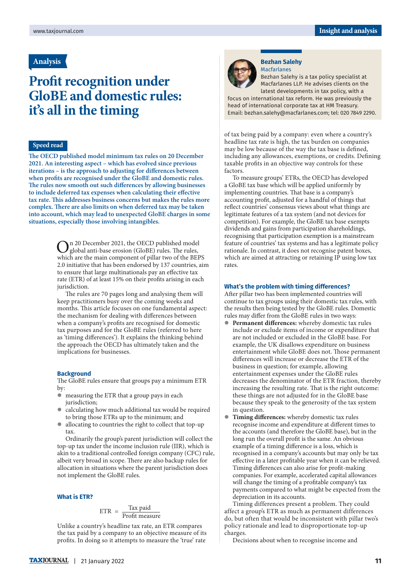## **Analysis**

# **Profit recognition under GloBE and domestic rules: it's all in the timing**

## **Speed read**

**The OECD published model minimum tax rules on 20 December 2021. An interesting aspect – which has evolved since previous iterations – is the approach to adjusting for differences between when profits are recognised under the GloBE and domestic rules. The rules now smooth out such differences by allowing businesses to include deferred tax expenses when calculating their effective tax rate. This addresses business concerns but makes the rules more complex. There are also limits on when deferred tax may be taken into account, which may lead to unexpected GloBE charges in some situations, especially those involving intangibles.**

> On 20 December 2021, the OECD published model<br>global anti-base erosion (GloBE) rules. The rules,<br>which are the majn component of aillet the orbital DED which are the main component of pillar two of the BEPS 2.0 initiative that has been endorsed by 137 countries, aim to ensure that large multinationals pay an effective tax rate (ETR) of at least 15% on their profits arising in each jurisdiction.

> The rules are 70 pages long and analysing them will keep practitioners busy over the coming weeks and months. This article focuses on one fundamental aspect: the mechanism for dealing with differences between when a company's profits are recognised for domestic tax purposes and for the GloBE rules (referred to here as 'timing differences'). It explains the thinking behind the approach the OECD has ultimately taken and the implications for businesses.

### **Background**

The GloBE rules ensure that groups pay a minimum ETR by:

- measuring the ETR that a group pays in each jurisdiction;
- calculating how much additional tax would be required to bring those ETRs up to the minimum; and
- $\bullet$  allocating to countries the right to collect that top-up tax.

Ordinarily the group's parent jurisdiction will collect the top-up tax under the income inclusion rule (IIR), which is akin to a traditional controlled foreign company (CFC) rule, albeit very broad in scope. There are also backup rules for allocation in situations where the parent jurisdiction does not implement the GloBE rules.

#### **What is ETR?**

# $ETR = \frac{\text{Tax paid}}{\text{Profit measure}}$

Unlike a country's headline tax rate, an ETR compares the tax paid by a company to an objective measure of its profits. In doing so it attempts to measure the 'true' rate



#### **Bezhan Salehy**  Macfarlanes

Bezhan Salehy is a tax policy specialist at Macfarlanes LLP. He advises clients on the latest developments in tax policy, with a

focus on international tax reform. He was previously the head of international corporate tax at HM Treasury. Email: bezhan.salehy@macfarlanes.com; tel: 020 7849 2290.

of tax being paid by a company: even where a country's headline tax rate is high, the tax burden on companies may be low because of the way the tax base is defined, including any allowances, exemptions, or credits. Defining taxable profits in an objective way controls for these factors.

To measure groups' ETRs, the OECD has developed a GloBE tax base which will be applied uniformly by implementing countries. That base is a company's accounting profit, adjusted for a handful of things that reflect countries' consensus views about what things are legitimate features of a tax system (and not devices for competition). For example, the GloBE tax base exempts dividends and gains from participation shareholdings, recognising that participation exemption is a mainstream feature of countries' tax systems and has a legitimate policy rationale. In contrast, it does not recognise patent boxes, which are aimed at attracting or retaining IP using low tax rates.

#### **What's the problem with timing differences?**

After pillar two has been implemented countries will continue to tax groups using their domestic tax rules, with the results then being tested by the GloBE rules. Domestic rules may differ from the GloBE rules in two ways:

- **Permanent differences:** whereby domestic tax rules include or exclude items of income or expenditure that are not included or excluded in the GloBE base. For example, the UK disallows expenditure on business entertainment while GloBE does not. Those permanent differences will increase or decrease the ETR of the business in question; for example, allowing entertainment expenses under the GloBE rules decreases the denominator of the ETR fraction, thereby increasing the resulting rate. That is the right outcome: these things are not adjusted for in the GloBE base because they speak to the generosity of the tax system in question.
- **Timing differences:** whereby domestic tax rules recognise income and expenditure at different times to the accounts (and therefore the GloBE base), but in the long run the overall profit is the same. An obvious example of a timing difference is a loss, which is recognised in a company's accounts but may only be tax effective in a later profitable year when it can be relieved. Timing differences can also arise for profit-making companies. For example, accelerated capital allowances will change the timing of a profitable company's tax payments compared to what might be expected from the depreciation in its accounts.

Timing differences present a problem. They could affect a group's ETR as much as permanent differences do, but often that would be inconsistent with pillar two's policy rationale and lead to disproportionate top-up charges.

Decisions about when to recognise income and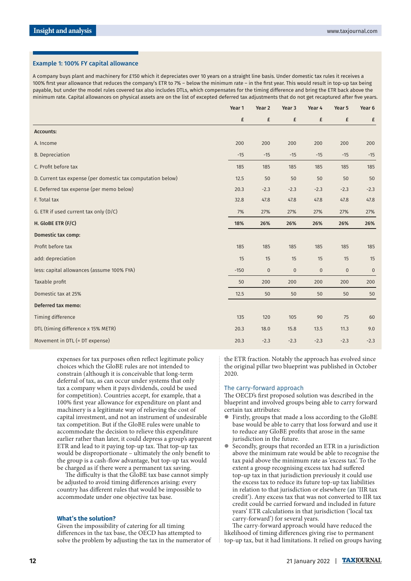#### Example 1: 100% FY capital allowance

A company buys plant and machinery for £150 which it depreciates over 10 years on a straight line basis. Under domestic tax rules it receives a 100% first year allowance that reduces the company's ETR to 7% – below the minimum rate – in the first year. This would result in top-up tax being payable, but under the model rules covered tax also includes DTLs, which compensates for the timing difference and bring the ETR back above the minimum rate. Capital allowances on physical assets are on the list of excepted deferred tax adjustments that do not get recaptured after five years.

|                                                             | Year 1 | Year 2    | Year <sub>3</sub> | Year 4  | Year 5    | Year 6      |
|-------------------------------------------------------------|--------|-----------|-------------------|---------|-----------|-------------|
|                                                             | £      | £         | £                 | £       | £         | £           |
| <b>Accounts:</b>                                            |        |           |                   |         |           |             |
| A. Income                                                   | 200    | 200       | 200               | 200     | 200       | 200         |
| <b>B.</b> Depreciation                                      | $-15$  | $-15$     | $-15$             | $-15$   | $-15$     | $-15$       |
| C. Profit before tax                                        | 185    | 185       | 185               | 185     | 185       | 185         |
| D. Current tax expense (per domestic tax computation below) | 12.5   | 50        | 50                | 50      | 50        | 50          |
| E. Deferred tax expense (per memo below)                    | 20.3   | $-2.3$    | $-2.3$            | $-2.3$  | $-2.3$    | $-2.3$      |
| F. Total tax                                                | 32.8   | 47.8      | 47.8              | 47.8    | 47.8      | 47.8        |
| G. ETR if used current tax only (D/C)                       | 7%     | 27%       | 27%               | 27%     | 27%       | 27%         |
| H. GloBE ETR (F/C)                                          | 18%    | 26%       | 26%               | 26%     | 26%       | 26%         |
| <b>Domestic tax comp:</b>                                   |        |           |                   |         |           |             |
| Profit before tax                                           | 185    | 185       | 185               | 185     | 185       | 185         |
| add: depreciation                                           | 15     | 15        | 15                | 15      | 15        | 15          |
| less: capital allowances (assume 100% FYA)                  | $-150$ | $\pmb{0}$ | $\pmb{0}$         | $\bf 0$ | $\pmb{0}$ | $\mathbf 0$ |
| Taxable profit                                              | 50     | 200       | 200               | 200     | 200       | 200         |
| Domestic tax at 25%                                         | 12.5   | 50        | 50                | 50      | 50        | 50          |
| Deferred tax memo:                                          |        |           |                   |         |           |             |
| Timing difference                                           | 135    | 120       | 105               | 90      | 75        | 60          |
| DTL (timing difference x 15% METR)                          | 20.3   | 18.0      | 15.8              | 13.5    | 11.3      | 9.0         |
| Movement in DTL (= DT expense)                              | 20.3   | $-2.3$    | $-2.3$            | $-2.3$  | $-2.3$    | $-2.3$      |

expenses for tax purposes often reflect legitimate policy choices which the GloBE rules are not intended to constrain (although it is conceivable that long-term deferral of tax, as can occur under systems that only tax a company when it pays dividends, could be used for competition). Countries accept, for example, that a 100% first year allowance for expenditure on plant and machinery is a legitimate way of relieving the cost of capital investment, and not an instrument of undesirable tax competition. But if the GloBE rules were unable to accommodate the decision to relieve this expenditure earlier rather than later, it could depress a group's apparent ETR and lead to it paying top-up tax. That top-up tax would be disproportionate – ultimately the only benefit to the group is a cash-flow advantage, but top-up tax would be charged as if there were a permanent tax saving.

The difficulty is that the GloBE tax base cannot simply be adjusted to avoid timing differences arising: every country has different rules that would be impossible to accommodate under one objective tax base.

#### **What's the solution?**

Given the impossibility of catering for all timing differences in the tax base, the OECD has attempted to solve the problem by adjusting the tax in the numerator of the ETR fraction. Notably the approach has evolved since the original pillar two blueprint was published in October 2020.

### The carry-forward approach

The OECD's first proposed solution was described in the blueprint and involved groups being able to carry forward certain tax attributes:

- Firstly, groups that made a loss according to the GloBE base would be able to carry that loss forward and use it to reduce any GloBE profits that arose in the same jurisdiction in the future.
- Secondly, groups that recorded an ETR in a jurisdiction above the minimum rate would be able to recognise the tax paid above the minimum rate as 'excess tax'. To the extent a group recognising excess tax had suffered top-up tax in that jurisdiction previously it could use the excess tax to reduce its future top-up tax liabilities in relation to that jurisdiction or elsewhere (an 'IIR tax credit'). Any excess tax that was not converted to IIR tax credit could be carried forward and included in future years' ETR calculations in that jurisdiction ('local tax carry-forward') for several years.

The carry-forward approach would have reduced the likelihood of timing differences giving rise to permanent top-up tax, but it had limitations. It relied on groups having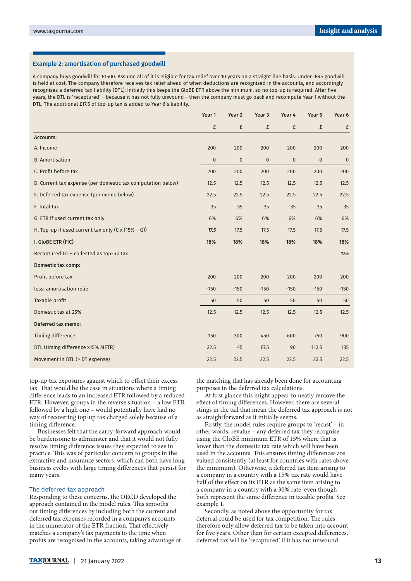#### Example 2: amortisation of purchased goodwill

A company buys goodwill for £1500. Assume all of it is eligible for tax relief over 10 years on a straight line basis. Under IFRS goodwill is held at cost. The company therefore receives tax relief ahead of when deductions are recognised in the accounts, and accordingly recognises a deferred tax liability (DTL). Initially this keeps the GloBE ETR above the minimum, so no top-up is required. After five years, the DTL is 'recaptured' – because it has not fully unwound – then the company must go back and recompute Year 1 without the DTL. The additional £17.5 of top-up tax is added to Year 6's liability.

|                                                             | Year 1   | Year 2      | Year 3    | Year 4      | Year 5  | Year 6      |
|-------------------------------------------------------------|----------|-------------|-----------|-------------|---------|-------------|
|                                                             | £        | £           | £         | £           | £       | £           |
| <b>Accounts:</b>                                            |          |             |           |             |         |             |
| A. Income                                                   | 200      | 200         | 200       | 200         | 200     | 200         |
| <b>B.</b> Amortisation                                      | $\bf{0}$ | $\mathbf 0$ | $\pmb{0}$ | $\mathbf 0$ | $\bf 0$ | $\mathbf 0$ |
| C. Profit before tax                                        | 200      | 200         | 200       | 200         | 200     | 200         |
| D. Current tax expense (per domestic tax computation below) | 12.5     | 12.5        | 12.5      | 12.5        | 12.5    | 12.5        |
| E. Deferred tax expense (per memo below)                    | 22.5     | 22.5        | 22.5      | 22.5        | 22.5    | 22.5        |
| F. Total tax                                                | 35       | 35          | 35        | 35          | 35      | 35          |
| G. ETR if used current tax only                             | 6%       | 6%          | 6%        | 6%          | 6%      | 6%          |
| H. Top-up if used current tax only $(C \times (15\% - G))$  | 17.5     | 17.5        | 17.5      | 17.5        | 17.5    | 17.5        |
| I. GloBE ETR (FIC)                                          | 18%      | 18%         | 18%       | 18%         | 18%     | 18%         |
| Recaptured DT - collected as top-up tax                     |          |             |           |             |         | 17.5        |
| Domestic tax comp:                                          |          |             |           |             |         |             |
| Profit before tax                                           | 200      | 200         | 200       | 200         | 200     | 200         |
| less: amortisation relief                                   | $-150$   | $-150$      | $-150$    | $-150$      | $-150$  | $-150$      |
| Taxable profit                                              | 50       | 50          | 50        | 50          | 50      | 50          |
| Domestic tax at 25%                                         | 12.5     | 12.5        | 12.5      | 12.5        | 12.5    | 12.5        |
| Deferred tax memo:                                          |          |             |           |             |         |             |
| <b>Timing difference</b>                                    | 150      | 300         | 450       | 600         | 750     | 900         |
| DTL (timing difference x15% METR)                           | 22.5     | 45          | 67.5      | 90          | 112.5   | 135         |
| Movement in DTL (= DT expense)                              | 22.5     | 22.5        | 22.5      | 22.5        | 22.5    | 22.5        |

top-up tax exposures against which to offset their excess tax. That would be the case in situations where a timing difference leads to an increased ETR followed by a reduced ETR. However, groups in the reverse situation – a low ETR followed by a high one – would potentially have had no way of recovering top-up tax charged solely because of a timing difference.

Businesses felt that the carry-forward approach would be burdensome to administer and that it would not fully resolve timing difference issues they expected to see in practice. This was of particular concern to groups in the extractive and insurance sectors, which can both have long business cycles with large timing differences that persist for many years.

#### The deferred tax approach

Responding to these concerns, the OECD developed the approach contained in the model rules. This smooths out timing differences by including both the current and deferred tax expenses recorded in a company's accounts in the numerator of the ETR fraction. That effectively matches a company's tax payments to the time when profits are recognised in the accounts, taking advantage of the matching that has already been done for accounting purposes in the deferred tax calculations.

At first glance this might appear to neatly remove the effect of timing differences. However, there are several stings in the tail that mean the deferred tax approach is not as straightforward as it initially seems.

Firstly, the model rules require groups to 'recast' – in other words, revalue – any deferred tax they recognise using the GloBE minimum ETR of 15% where that is lower than the domestic tax rate which will have been used in the accounts. This ensures timing differences are valued consistently (at least for countries with rates above the minimum). Otherwise, a deferred tax item arising to a company in a country with a 15% tax rate would have half of the effect on its ETR as the same item arising to a company in a country with a 30% rate, even though both represent the same difference in taxable profits. See example 1.

Secondly, as noted above the opportunity for tax deferral could be used for tax competition. The rules therefore only allow deferred tax to be taken into account for five years. Other than for certain excepted differences, deferred tax will be 'recaptured' if it has not unwound